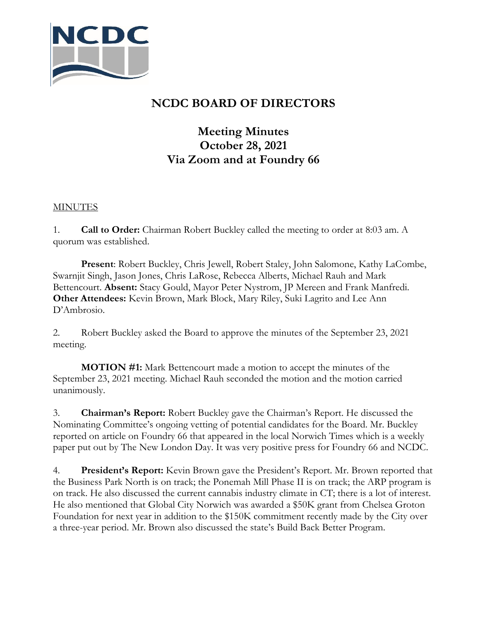

## **NCDC BOARD OF DIRECTORS**

## **Meeting Minutes October 28, 2021 Via Zoom and at Foundry 66**

## **MINUTES**

1. **Call to Order:** Chairman Robert Buckley called the meeting to order at 8:03 am. A quorum was established.

**Present**: Robert Buckley, Chris Jewell, Robert Staley, John Salomone, Kathy LaCombe, Swarnjit Singh, Jason Jones, Chris LaRose, Rebecca Alberts, Michael Rauh and Mark Bettencourt. **Absent:** Stacy Gould, Mayor Peter Nystrom, JP Mereen and Frank Manfredi. **Other Attendees:** Kevin Brown, Mark Block, Mary Riley, Suki Lagrito and Lee Ann D'Ambrosio.

2. Robert Buckley asked the Board to approve the minutes of the September 23, 2021 meeting.

**MOTION #1:** Mark Bettencourt made a motion to accept the minutes of the September 23, 2021 meeting. Michael Rauh seconded the motion and the motion carried unanimously.

3. **Chairman's Report:** Robert Buckley gave the Chairman's Report. He discussed the Nominating Committee's ongoing vetting of potential candidates for the Board. Mr. Buckley reported on article on Foundry 66 that appeared in the local Norwich Times which is a weekly paper put out by The New London Day. It was very positive press for Foundry 66 and NCDC.

4. **President's Report:** Kevin Brown gave the President's Report. Mr. Brown reported that the Business Park North is on track; the Ponemah Mill Phase II is on track; the ARP program is on track. He also discussed the current cannabis industry climate in CT; there is a lot of interest. He also mentioned that Global City Norwich was awarded a \$50K grant from Chelsea Groton Foundation for next year in addition to the \$150K commitment recently made by the City over a three-year period. Mr. Brown also discussed the state's Build Back Better Program.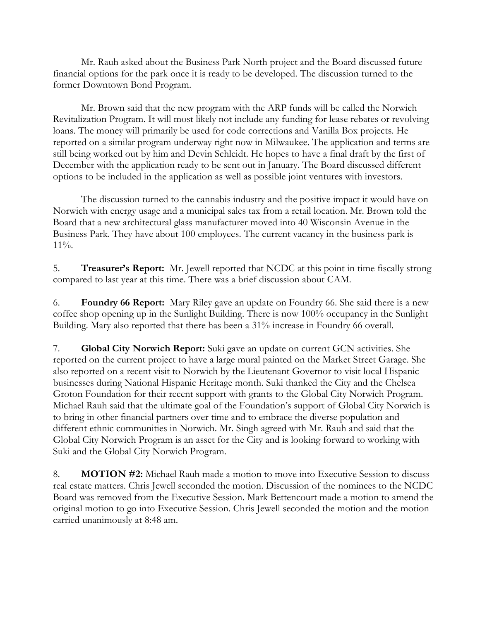Mr. Rauh asked about the Business Park North project and the Board discussed future financial options for the park once it is ready to be developed. The discussion turned to the former Downtown Bond Program.

Mr. Brown said that the new program with the ARP funds will be called the Norwich Revitalization Program. It will most likely not include any funding for lease rebates or revolving loans. The money will primarily be used for code corrections and Vanilla Box projects. He reported on a similar program underway right now in Milwaukee. The application and terms are still being worked out by him and Devin Schleidt. He hopes to have a final draft by the first of December with the application ready to be sent out in January. The Board discussed different options to be included in the application as well as possible joint ventures with investors.

The discussion turned to the cannabis industry and the positive impact it would have on Norwich with energy usage and a municipal sales tax from a retail location. Mr. Brown told the Board that a new architectural glass manufacturer moved into 40 Wisconsin Avenue in the Business Park. They have about 100 employees. The current vacancy in the business park is 11%.

5. **Treasurer's Report:** Mr. Jewell reported that NCDC at this point in time fiscally strong compared to last year at this time. There was a brief discussion about CAM.

6. **Foundry 66 Report:** Mary Riley gave an update on Foundry 66. She said there is a new coffee shop opening up in the Sunlight Building. There is now 100% occupancy in the Sunlight Building. Mary also reported that there has been a 31% increase in Foundry 66 overall.

7. **Global City Norwich Report:** Suki gave an update on current GCN activities. She reported on the current project to have a large mural painted on the Market Street Garage. She also reported on a recent visit to Norwich by the Lieutenant Governor to visit local Hispanic businesses during National Hispanic Heritage month. Suki thanked the City and the Chelsea Groton Foundation for their recent support with grants to the Global City Norwich Program. Michael Rauh said that the ultimate goal of the Foundation's support of Global City Norwich is to bring in other financial partners over time and to embrace the diverse population and different ethnic communities in Norwich. Mr. Singh agreed with Mr. Rauh and said that the Global City Norwich Program is an asset for the City and is looking forward to working with Suki and the Global City Norwich Program.

8. **MOTION #2:** Michael Rauh made a motion to move into Executive Session to discuss real estate matters. Chris Jewell seconded the motion. Discussion of the nominees to the NCDC Board was removed from the Executive Session. Mark Bettencourt made a motion to amend the original motion to go into Executive Session. Chris Jewell seconded the motion and the motion carried unanimously at 8:48 am.